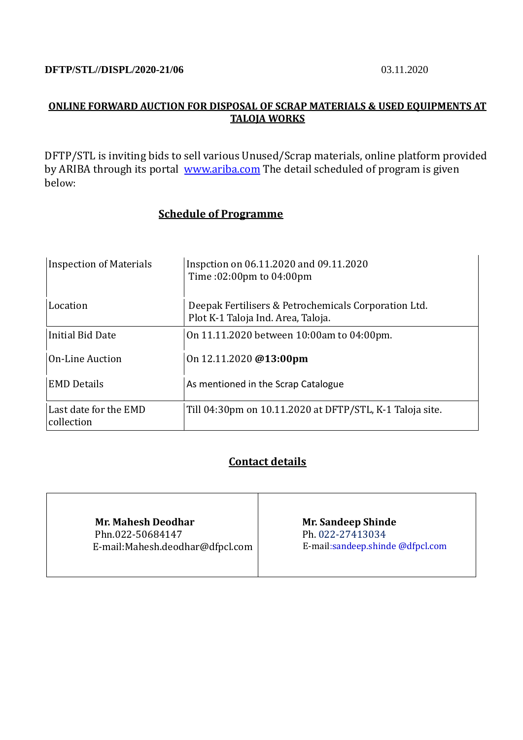### **DFTP/STL//DISPL/2020-21/06** 03.11.2020

# **ONLINE FORWARD AUCTION FOR DISPOSAL OF SCRAP MATERIALS & USED EQUIPMENTS AT TALOJA WORKS**

DFTP/STL is inviting bids to sell various Unused/Scrap materials, online platform provided by ARIBA through its portal [www.ariba.com](http://www.ariba.com/) The detail scheduled of program is given below:

# **Schedule of Programme**

| <b>Inspection of Materials</b>      | Inspetion on 06.11.2020 and 09.11.2020<br>Time:02:00pm to 04:00pm                          |
|-------------------------------------|--------------------------------------------------------------------------------------------|
| Location                            | Deepak Fertilisers & Petrochemicals Corporation Ltd.<br>Plot K-1 Taloja Ind. Area, Taloja. |
| Initial Bid Date                    | On 11.11.2020 between 10:00am to 04:00pm.                                                  |
| <b>On-Line Auction</b>              | On $12.11.2020$ @13:00pm                                                                   |
| <b>EMD Details</b>                  | As mentioned in the Scrap Catalogue                                                        |
| Last date for the EMD<br>collection | Till 04:30pm on 10.11.2020 at DFTP/STL, K-1 Taloja site.                                   |

# **Contact details**

 **Mr. Mahesh Deodhar** Phn.022-50684147 E-mail:Mahesh.deodhar@dfpcl.com  **Mr. Sandeep Shinde** Ph. 022-27413034 E-mail:sandeep.shinde @dfpcl.com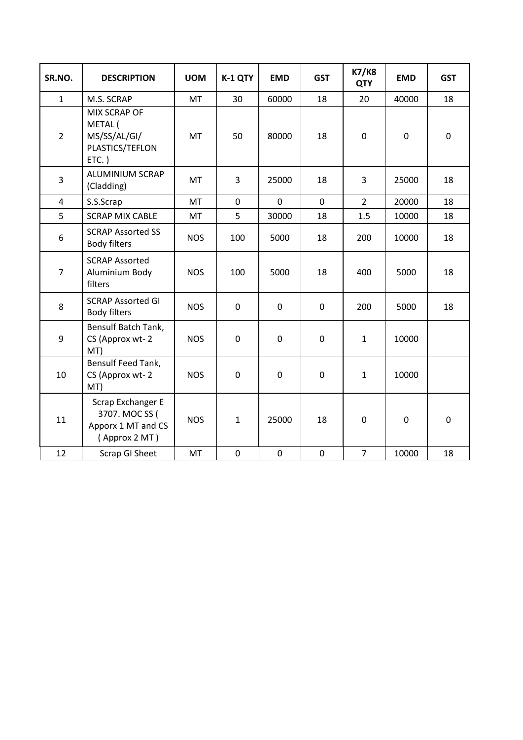| SR.NO.         | <b>DESCRIPTION</b>                                                         | <b>UOM</b> | K-1 QTY      | <b>EMD</b>  | <b>GST</b>  | <b>K7/K8</b><br><b>QTY</b> | <b>EMD</b> | <b>GST</b>  |
|----------------|----------------------------------------------------------------------------|------------|--------------|-------------|-------------|----------------------------|------------|-------------|
| $\mathbf{1}$   | M.S. SCRAP                                                                 | <b>MT</b>  | 30           | 60000       | 18          | 20                         | 40000      | 18          |
| $\overline{2}$ | MIX SCRAP OF<br>METAL (<br>MS/SS/AL/GI/<br>PLASTICS/TEFLON<br>$ETC.$ )     | <b>MT</b>  | 50           | 80000       | 18          | $\mathbf 0$                | 0          | $\mathbf 0$ |
| 3              | ALUMINIUM SCRAP<br>(Cladding)                                              | <b>MT</b>  | 3            | 25000       | 18          | 3                          | 25000      | 18          |
| $\overline{4}$ | S.S.Scrap                                                                  | <b>MT</b>  | 0            | $\mathbf 0$ | $\mathbf 0$ | $\overline{2}$             | 20000      | 18          |
| 5              | <b>SCRAP MIX CABLE</b>                                                     | <b>MT</b>  | 5            | 30000       | 18          | 1.5                        | 10000      | 18          |
| 6              | <b>SCRAP Assorted SS</b><br><b>Body filters</b>                            | <b>NOS</b> | 100          | 5000        | 18          | 200                        | 10000      | 18          |
| $\overline{7}$ | <b>SCRAP Assorted</b><br>Aluminium Body<br>filters                         | <b>NOS</b> | 100          | 5000        | 18          | 400                        | 5000       | 18          |
| 8              | <b>SCRAP Assorted GI</b><br><b>Body filters</b>                            | <b>NOS</b> | $\mathbf 0$  | $\mathbf 0$ | $\mathbf 0$ | 200                        | 5000       | 18          |
| 9              | Bensulf Batch Tank,<br>CS (Approx wt-2<br>MT)                              | <b>NOS</b> | $\pmb{0}$    | $\mathbf 0$ | $\pmb{0}$   | $\mathbf{1}$               | 10000      |             |
| 10             | <b>Bensulf Feed Tank,</b><br>CS (Approx wt-2<br>MT)                        | <b>NOS</b> | $\mathbf 0$  | $\mathbf 0$ | $\mathbf 0$ | $\mathbf{1}$               | 10000      |             |
| 11             | Scrap Exchanger E<br>3707. MOC SS (<br>Apporx 1 MT and CS<br>(Approx 2 MT) | <b>NOS</b> | $\mathbf{1}$ | 25000       | 18          | $\mathbf 0$                | 0          | $\mathbf 0$ |
| 12             | Scrap GI Sheet                                                             | <b>MT</b>  | $\mathbf 0$  | $\mathbf 0$ | $\mathbf 0$ | $\overline{7}$             | 10000      | 18          |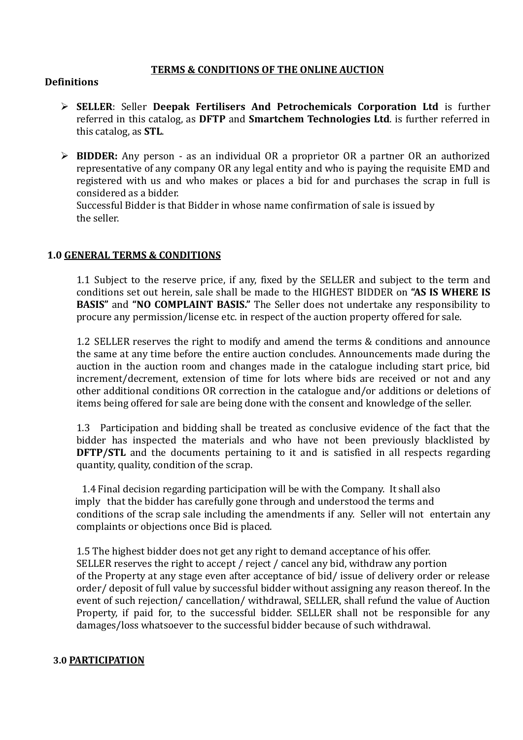# **TERMS & CONDITIONS OF THE ONLINE AUCTION**

### **Definitions**

- ➢ **SELLER**: Seller **Deepak Fertilisers And Petrochemicals Corporation Ltd** is further referred in this catalog, as **DFTP** and **Smartchem Technologies Ltd**. is further referred in this catalog, as **STL**.
- ➢ **BIDDER:** Any person as an individual OR a proprietor OR a partner OR an authorized representative of any company OR any legal entity and who is paying the requisite EMD and registered with us and who makes or places a bid for and purchases the scrap in full is considered as a bidder.

Successful Bidder is that Bidder in whose name confirmation of sale is issued by the seller.

### **1.0 GENERAL TERMS & CONDITIONS**

1.1 Subject to the reserve price, if any, fixed by the SELLER and subject to the term and conditions set out herein, sale shall be made to the HIGHEST BIDDER on **"AS IS WHERE IS BASIS"** and **"NO COMPLAINT BASIS."** The Seller does not undertake any responsibility to procure any permission/license etc. in respect of the auction property offered for sale.

1.2 SELLER reserves the right to modify and amend the terms & conditions and announce the same at any time before the entire auction concludes. Announcements made during the auction in the auction room and changes made in the catalogue including start price, bid increment/decrement, extension of time for lots where bids are received or not and any other additional conditions OR correction in the catalogue and/or additions or deletions of items being offered for sale are being done with the consent and knowledge of the seller.

1.3 Participation and bidding shall be treated as conclusive evidence of the fact that the bidder has inspected the materials and who have not been previously blacklisted by **DFTP/STL** and the documents pertaining to it and is satisfied in all respects regarding quantity, quality, condition of the scrap.

1.4 Final decision regarding participation will be with the Company. It shall also imply that the bidder has carefully gone through and understood the terms and conditions of the scrap sale including the amendments if any. Seller will not entertain any complaints or objections once Bid is placed.

1.5 The highest bidder does not get any right to demand acceptance of his offer. SELLER reserves the right to accept / reject / cancel any bid, withdraw any portion of the Property at any stage even after acceptance of bid/ issue of delivery order or release order/ deposit of full value by successful bidder without assigning any reason thereof. In the event of such rejection/ cancellation/ withdrawal, SELLER, shall refund the value of Auction Property, if paid for, to the successful bidder. SELLER shall not be responsible for any damages/loss whatsoever to the successful bidder because of such withdrawal.

#### **3.0 PARTICIPATION**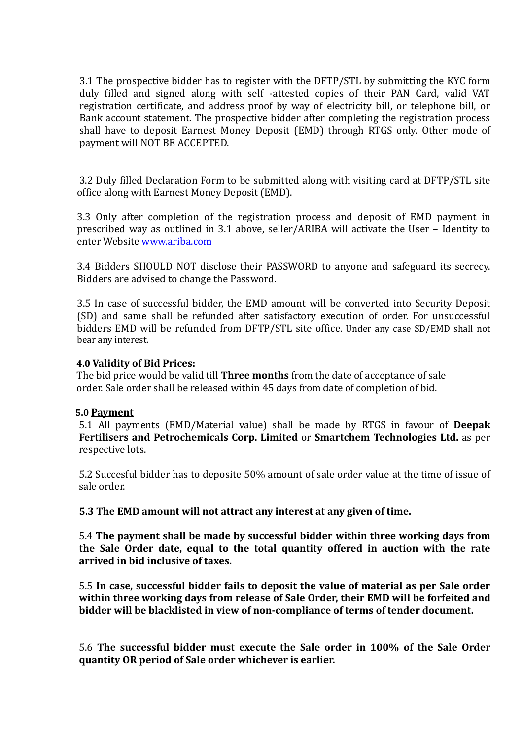3.1 The prospective bidder has to register with the DFTP/STL by submitting the KYC form duly filled and signed along with self -attested copies of their PAN Card, valid VAT registration certificate, and address proof by way of electricity bill, or telephone bill, or Bank account statement. The prospective bidder after completing the registration process shall have to deposit Earnest Money Deposit (EMD) through RTGS only. Other mode of payment will NOT BE ACCEPTED.

3.2 Duly filled Declaration Form to be submitted along with visiting card at DFTP/STL site office along with Earnest Money Deposit (EMD).

3.3 Only after completion of the registration process and deposit of EMD payment in prescribed way as outlined in 3.1 above, seller/ARIBA will activate the User – Identity to enter Website www.ariba.com

3.4 Bidders SHOULD NOT disclose their PASSWORD to anyone and safeguard its secrecy. Bidders are advised to change the Password.

3.5 In case of successful bidder, the EMD amount will be converted into Security Deposit (SD) and same shall be refunded after satisfactory execution of order. For unsuccessful bidders EMD will be refunded from DFTP/STL site office. Under any case SD/EMD shall not bear any interest.

### **4.0 Validity of Bid Prices:**

 The bid price would be valid till **Three months** from the date of acceptance of sale order. Sale order shall be released within 45 days from date of completion of bid.

#### **5.0 Payment**

5.1 All payments (EMD/Material value) shall be made by RTGS in favour of **Deepak Fertilisers and Petrochemicals Corp. Limited** or **Smartchem Technologies Ltd.** as per respective lots.

5.2 Succesful bidder has to deposite 50% amount of sale order value at the time of issue of sale order.

**5.3 The EMD amount will not attract any interest at any given of time.**

5.4 **The payment shall be made by successful bidder within three working days from the Sale Order date, equal to the total quantity offered in auction with the rate arrived in bid inclusive of taxes.**

5.5 **In case, successful bidder fails to deposit the value of material as per Sale order within three working days from release of Sale Order, their EMD will be forfeited and bidder will be blacklisted in view of non-compliance of terms of tender document.**

5.6 **The successful bidder must execute the Sale order in 100% of the Sale Order quantity OR period of Sale order whichever is earlier.**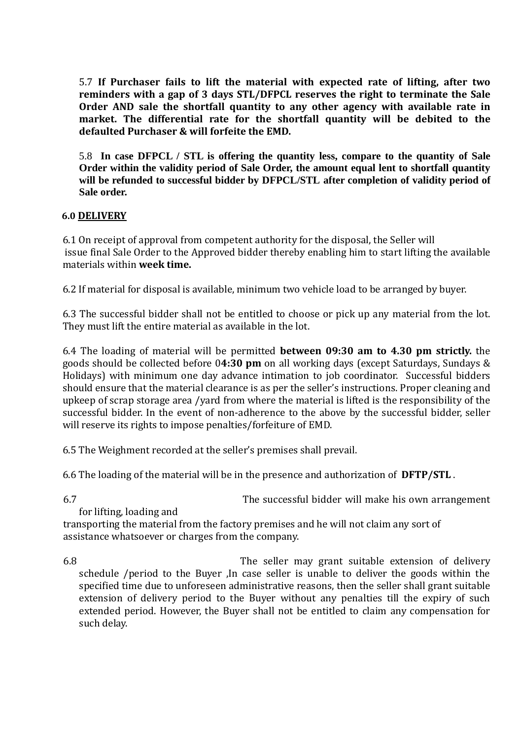5.7 **If Purchaser fails to lift the material with expected rate of lifting, after two reminders with a gap of 3 days STL/DFPCL reserves the right to terminate the Sale Order AND sale the shortfall quantity to any other agency with available rate in market. The differential rate for the shortfall quantity will be debited to the defaulted Purchaser & will forfeite the EMD.**

5.8 **In case DFPCL / STL is offering the quantity less, compare to the quantity of Sale Order within the validity period of Sale Order, the amount equal lent to shortfall quantity will be refunded to successful bidder by DFPCL/STL after completion of validity period of Sale order.** 

# **6.0 DELIVERY**

6.1 On receipt of approval from competent authority for the disposal, the Seller will issue final Sale Order to the Approved bidder thereby enabling him to start lifting the available materials within **week time.**

6.2 If material for disposal is available, minimum two vehicle load to be arranged by buyer.

6.3 The successful bidder shall not be entitled to choose or pick up any material from the lot. They must lift the entire material as available in the lot.

6.4 The loading of material will be permitted **between 09:30 am to 4.30 pm strictly.** the goods should be collected before 0**4:30 pm** on all working days (except Saturdays, Sundays & Holidays) with minimum one day advance intimation to job coordinator. Successful bidders should ensure that the material clearance is as per the seller's instructions. Proper cleaning and upkeep of scrap storage area /yard from where the material is lifted is the responsibility of the successful bidder. In the event of non-adherence to the above by the successful bidder, seller will reserve its rights to impose penalties/forfeiture of EMD.

6.5 The Weighment recorded at the seller's premises shall prevail.

6.6 The loading of the material will be in the presence and authorization of **DFTP/STL** .

6.7 The successful bidder will make his own arrangement

for lifting, loading and

 transporting the material from the factory premises and he will not claim any sort of assistance whatsoever or charges from the company.

6.8 The seller may grant suitable extension of delivery schedule /period to the Buyer ,In case seller is unable to deliver the goods within the specified time due to unforeseen administrative reasons, then the seller shall grant suitable extension of delivery period to the Buyer without any penalties till the expiry of such extended period. However, the Buyer shall not be entitled to claim any compensation for such delay.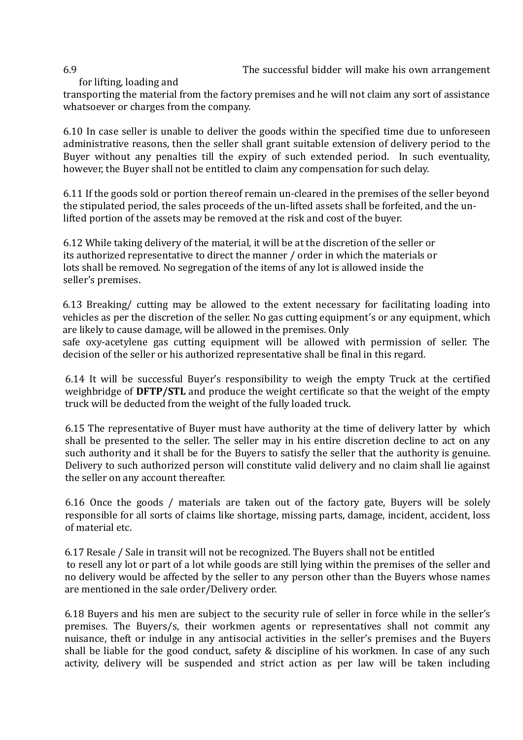6.9 The successful bidder will make his own arrangement

# for lifting, loading and

transporting the material from the factory premises and he will not claim any sort of assistance whatsoever or charges from the company.

6.10 In case seller is unable to deliver the goods within the specified time due to unforeseen administrative reasons, then the seller shall grant suitable extension of delivery period to the Buyer without any penalties till the expiry of such extended period. In such eventuality, however, the Buyer shall not be entitled to claim any compensation for such delay.

6.11 If the goods sold or portion thereof remain un-cleared in the premises of the seller beyond the stipulated period, the sales proceeds of the un-lifted assets shall be forfeited, and the unlifted portion of the assets may be removed at the risk and cost of the buyer.

6.12 While taking delivery of the material, it will be at the discretion of the seller or its authorized representative to direct the manner / order in which the materials or lots shall be removed. No segregation of the items of any lot is allowed inside the seller's premises.

6.13 Breaking/ cutting may be allowed to the extent necessary for facilitating loading into vehicles as per the discretion of the seller. No gas cutting equipment's or any equipment, which are likely to cause damage, will be allowed in the premises. Only safe oxy-acetylene gas cutting equipment will be allowed with permission of seller. The decision of the seller or his authorized representative shall be final in this regard.

6.14 It will be successful Buyer's responsibility to weigh the empty Truck at the certified weighbridge of **DFTP/STL** and produce the weight certificate so that the weight of the empty truck will be deducted from the weight of the fully loaded truck.

6.15 The representative of Buyer must have authority at the time of delivery latter by which shall be presented to the seller. The seller may in his entire discretion decline to act on any such authority and it shall be for the Buyers to satisfy the seller that the authority is genuine. Delivery to such authorized person will constitute valid delivery and no claim shall lie against the seller on any account thereafter.

6.16 Once the goods / materials are taken out of the factory gate, Buyers will be solely responsible for all sorts of claims like shortage, missing parts, damage, incident, accident, loss of material etc.

6.17 Resale / Sale in transit will not be recognized. The Buyers shall not be entitled to resell any lot or part of a lot while goods are still lying within the premises of the seller and no delivery would be affected by the seller to any person other than the Buyers whose names are mentioned in the sale order/Delivery order.

6.18 Buyers and his men are subject to the security rule of seller in force while in the seller's premises. The Buyers/s, their workmen agents or representatives shall not commit any nuisance, theft or indulge in any antisocial activities in the seller's premises and the Buyers shall be liable for the good conduct, safety & discipline of his workmen. In case of any such activity, delivery will be suspended and strict action as per law will be taken including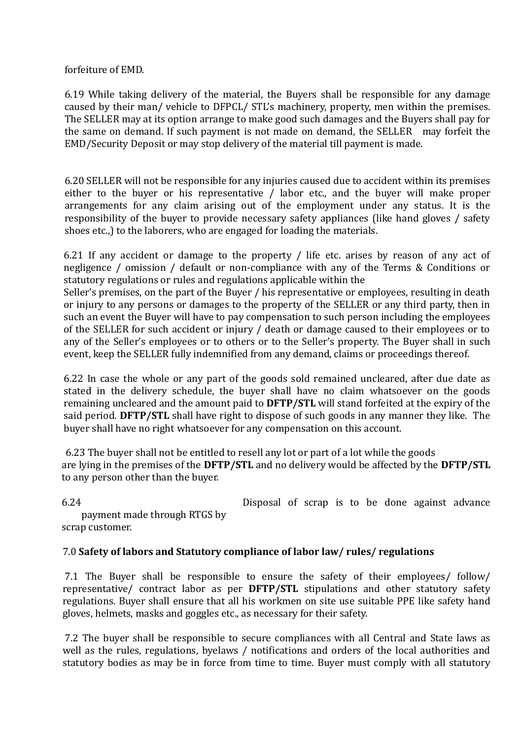forfeiture of EMD.

6.19 While taking delivery of the material, the Buyers shall be responsible for any damage caused by their man/ vehicle to DFPCL/ STL's machinery, property, men within the premises. The SELLER may at its option arrange to make good such damages and the Buyers shall pay for the same on demand. If such payment is not made on demand, the SELLER may forfeit the EMD/Security Deposit or may stop delivery of the material till payment is made.

6.20 SELLER will not be responsible for any injuries caused due to accident within its premises either to the buyer or his representative / labor etc., and the buyer will make proper arrangements for any claim arising out of the employment under any status. It is the responsibility of the buyer to provide necessary safety appliances (like hand gloves / safety shoes etc.,) to the laborers, who are engaged for loading the materials.

6.21 If any accident or damage to the property / life etc. arises by reason of any act of negligence / omission / default or non-compliance with any of the Terms & Conditions or statutory regulations or rules and regulations applicable within the

Seller's premises, on the part of the Buyer / his representative or employees, resulting in death or injury to any persons or damages to the property of the SELLER or any third party, then in such an event the Buyer will have to pay compensation to such person including the employees of the SELLER for such accident or injury / death or damage caused to their employees or to any of the Seller's employees or to others or to the Seller's property. The Buyer shall in such event, keep the SELLER fully indemnified from any demand, claims or proceedings thereof.

6.22 In case the whole or any part of the goods sold remained uncleared, after due date as stated in the delivery schedule, the buyer shall have no claim whatsoever on the goods remaining uncleared and the amount paid to **DFTP/STL** will stand forfeited at the expiry of the said period. **DFTP/STL** shall have right to dispose of such goods in any manner they like. The buyer shall have no right whatsoever for any compensation on this account.

6.23 The buyer shall not be entitled to resell any lot or part of a lot while the goods are lying in the premises of the **DFTP/STL** and no delivery would be affected by the **DFTP/STL**  to any person other than the buyer.

6.24 Disposal of scrap is to be done against advance

payment made through RTGS by scrap customer.

# 7.0 **Safety of labors and Statutory compliance of labor law/ rules/ regulations**

7.1 The Buyer shall be responsible to ensure the safety of their employees/ follow/ representative/ contract labor as per **DFTP/STL** stipulations and other statutory safety regulations. Buyer shall ensure that all his workmen on site use suitable PPE like safety hand gloves, helmets, masks and goggles etc., as necessary for their safety.

7.2 The buyer shall be responsible to secure compliances with all Central and State laws as well as the rules, regulations, byelaws / notifications and orders of the local authorities and statutory bodies as may be in force from time to time. Buyer must comply with all statutory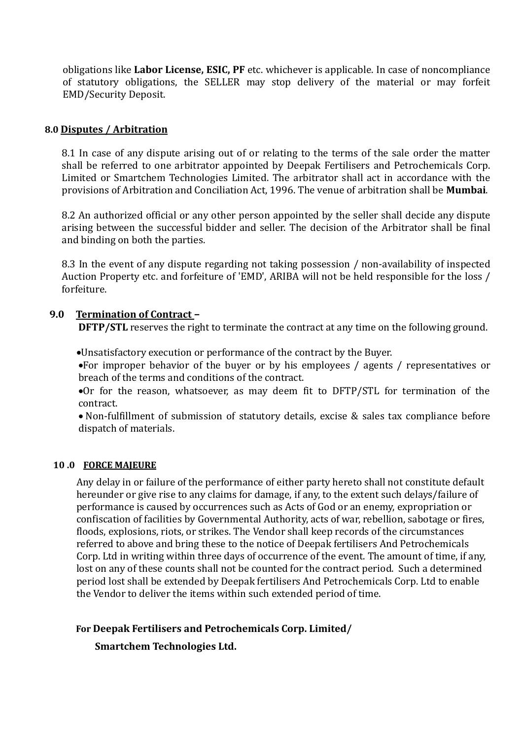obligations like **Labor License, ESIC, PF** etc. whichever is applicable. In case of noncompliance of statutory obligations, the SELLER may stop delivery of the material or may forfeit EMD/Security Deposit.

#### **8.0 Disputes / Arbitration**

8.1 In case of any dispute arising out of or relating to the terms of the sale order the matter shall be referred to one arbitrator appointed by Deepak Fertilisers and Petrochemicals Corp. Limited or Smartchem Technologies Limited. The arbitrator shall act in accordance with the provisions of Arbitration and Conciliation Act, 1996. The venue of arbitration shall be **Mumbai**.

8.2 An authorized official or any other person appointed by the seller shall decide any dispute arising between the successful bidder and seller. The decision of the Arbitrator shall be final and binding on both the parties.

8.3 In the event of any dispute regarding not taking possession / non-availability of inspected Auction Property etc. and forfeiture of 'EMD', ARIBA will not be held responsible for the loss / forfeiture.

### **9.0 Termination of Contract –**

**DFTP/STL** reserves the right to terminate the contract at any time on the following ground.

•Unsatisfactory execution or performance of the contract by the Buyer.

•For improper behavior of the buyer or by his employees / agents / representatives or breach of the terms and conditions of the contract.

•Or for the reason, whatsoever, as may deem fit to DFTP/STL for termination of the contract.

• Non-fulfillment of submission of statutory details, excise & sales tax compliance before dispatch of materials.

#### **10 .0 FORCE MAJEURE**

Any delay in or failure of the performance of either party hereto shall not constitute default hereunder or give rise to any claims for damage, if any, to the extent such delays/failure of performance is caused by occurrences such as Acts of God or an enemy, expropriation or confiscation of facilities by Governmental Authority, acts of war, rebellion, sabotage or fires, floods, explosions, riots, or strikes. The Vendor shall keep records of the circumstances referred to above and bring these to the notice of Deepak fertilisers And Petrochemicals Corp. Ltd in writing within three days of occurrence of the event. The amount of time, if any, lost on any of these counts shall not be counted for the contract period. Such a determined period lost shall be extended by Deepak fertilisers And Petrochemicals Corp. Ltd to enable the Vendor to deliver the items within such extended period of time.

# **For Deepak Fertilisers and Petrochemicals Corp. Limited/**

 **Smartchem Technologies Ltd.**